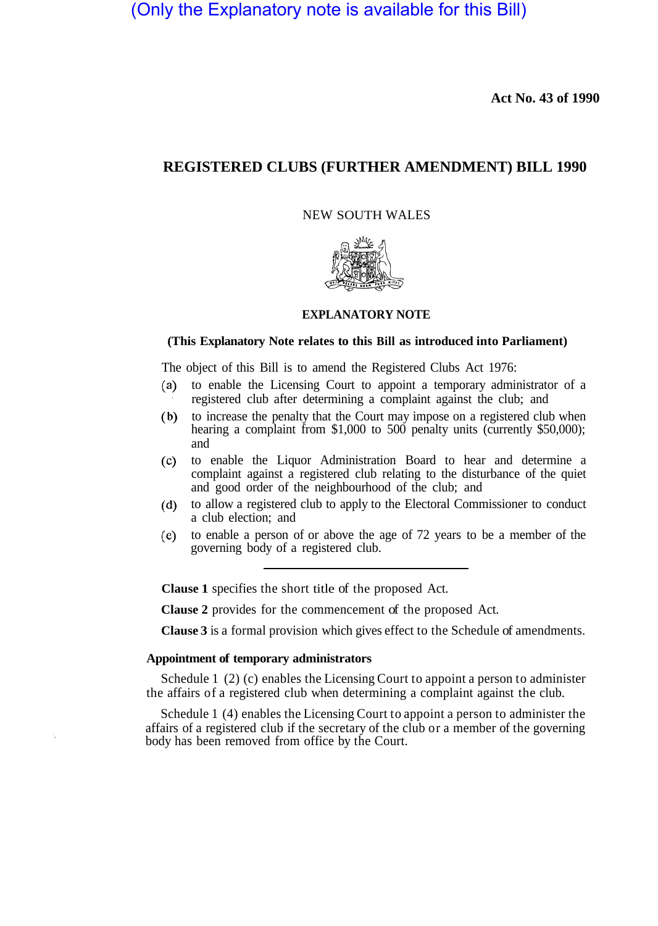(Only the Explanatory note is available for this Bill)

**Act No. 43 of 1990**

# **REGISTERED CLUBS (FURTHER AMENDMENT) BILL 1990**

NEW SOUTH WALES



## **EXPLANATORY NOTE**

## **(This Explanatory Note relates to this Bill as introduced into Parliament)**

The object of this Bill is to amend the Registered Clubs Act 1976:

- $(a)$ to enable the Licensing Court to appoint a temporary administrator of a registered club after determining a complaint against the club; and
- $(b)$ to increase the penalty that the Court may impose on a registered club when hearing a complaint from \$1,000 to 500 penalty units (currently \$50,000); and
- to enable the Liquor Administration Board to hear and determine a  $(c)$ complaint against a registered club relating to the disturbance of the quiet and good order of the neighbourhood of the club; and
- to allow a registered club to apply to the Electoral Commissioner to conduct  $(d)$ a club election; and
- $(e)$ to enable a person of or above the age of 72 years to be a member of the governing body of a registered club.

**Clause 1** specifies the short title of the proposed Act.

**Clause 2** provides for the commencement of the proposed Act.

**Clause 3** is a formal provision which gives effect to the Schedule of amendments.

## **Appointment of temporary administrators**

Schedule 1 (2) (c) enables the Licensing Court to appoint a person to administer the affairs of a registered club when determining a complaint against the club.

Schedule 1 (4) enables the Licensing Court to appoint a person to administer the affairs of a registered club if the secretary of the club or a member of the governing body has been removed from office by the Court.